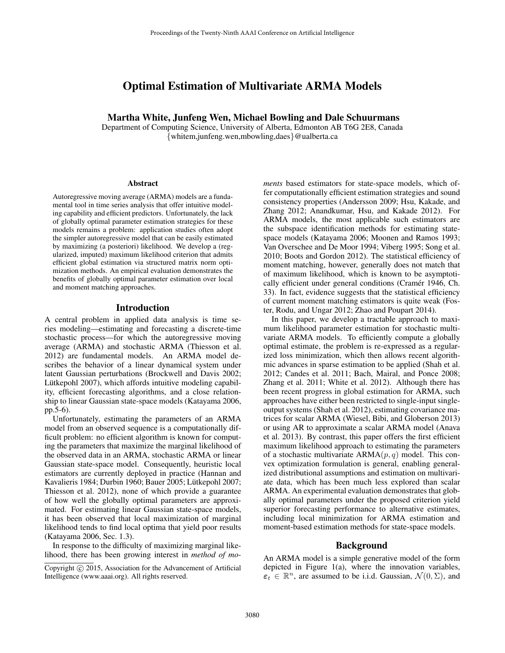# Optimal Estimation of Multivariate ARMA Models

### Martha White, Junfeng Wen, Michael Bowling and Dale Schuurmans

Department of Computing Science, University of Alberta, Edmonton AB T6G 2E8, Canada {whitem,junfeng.wen,mbowling,daes}@ualberta.ca

#### Abstract

Autoregressive moving average (ARMA) models are a fundamental tool in time series analysis that offer intuitive modeling capability and efficient predictors. Unfortunately, the lack of globally optimal parameter estimation strategies for these models remains a problem: application studies often adopt the simpler autoregressive model that can be easily estimated by maximizing (a posteriori) likelihood. We develop a (regularized, imputed) maximum likelihood criterion that admits efficient global estimation via structured matrix norm optimization methods. An empirical evaluation demonstrates the benefits of globally optimal parameter estimation over local and moment matching approaches.

### Introduction

A central problem in applied data analysis is time series modeling—estimating and forecasting a discrete-time stochastic process—for which the autoregressive moving average (ARMA) and stochastic ARMA (Thiesson et al. 2012) are fundamental models. An ARMA model describes the behavior of a linear dynamical system under latent Gaussian perturbations (Brockwell and Davis 2002; Lütkepohl 2007), which affords intuitive modeling capability, efficient forecasting algorithms, and a close relationship to linear Gaussian state-space models (Katayama 2006, pp.5-6).

Unfortunately, estimating the parameters of an ARMA model from an observed sequence is a computationally difficult problem: no efficient algorithm is known for computing the parameters that maximize the marginal likelihood of the observed data in an ARMA, stochastic ARMA or linear Gaussian state-space model. Consequently, heuristic local estimators are currently deployed in practice (Hannan and Kavalieris 1984; Durbin 1960; Bauer 2005; Lütkepohl 2007; Thiesson et al. 2012), none of which provide a guarantee of how well the globally optimal parameters are approximated. For estimating linear Gaussian state-space models, it has been observed that local maximization of marginal likelihood tends to find local optima that yield poor results (Katayama 2006, Sec. 1.3).

In response to the difficulty of maximizing marginal likelihood, there has been growing interest in *method of mo-* *ments* based estimators for state-space models, which offer computationally efficient estimation strategies and sound consistency properties (Andersson 2009; Hsu, Kakade, and Zhang 2012; Anandkumar, Hsu, and Kakade 2012). For ARMA models, the most applicable such estimators are the subspace identification methods for estimating statespace models (Katayama 2006; Moonen and Ramos 1993; Van Overschee and De Moor 1994; Viberg 1995; Song et al. 2010; Boots and Gordon 2012). The statistical efficiency of moment matching, however, generally does not match that of maximum likelihood, which is known to be asymptotically efficient under general conditions (Cramér 1946, Ch. 33). In fact, evidence suggests that the statistical efficiency of current moment matching estimators is quite weak (Foster, Rodu, and Ungar 2012; Zhao and Poupart 2014).

In this paper, we develop a tractable approach to maximum likelihood parameter estimation for stochastic multivariate ARMA models. To efficiently compute a globally optimal estimate, the problem is re-expressed as a regularized loss minimization, which then allows recent algorithmic advances in sparse estimation to be applied (Shah et al. 2012; Candes et al. 2011; Bach, Mairal, and Ponce 2008; Zhang et al. 2011; White et al. 2012). Although there has been recent progress in global estimation for ARMA, such approaches have either been restricted to single-input singleoutput systems (Shah et al. 2012), estimating covariance matrices for scalar ARMA (Wiesel, Bibi, and Globerson 2013) or using AR to approximate a scalar ARMA model (Anava et al. 2013). By contrast, this paper offers the first efficient maximum likelihood approach to estimating the parameters of a stochastic multivariate  $ARMA(p, q)$  model. This convex optimization formulation is general, enabling generalized distributional assumptions and estimation on multivariate data, which has been much less explored than scalar ARMA. An experimental evaluation demonstrates that globally optimal parameters under the proposed criterion yield superior forecasting performance to alternative estimates, including local minimization for ARMA estimation and moment-based estimation methods for state-space models.

### Background

An ARMA model is a simple generative model of the form depicted in Figure 1(a), where the innovation variables,  $\varepsilon_t \in \mathbb{R}^n$ , are assumed to be i.i.d. Gaussian,  $\mathcal{N}(0, \Sigma)$ , and

Copyright (c) 2015, Association for the Advancement of Artificial Intelligence (www.aaai.org). All rights reserved.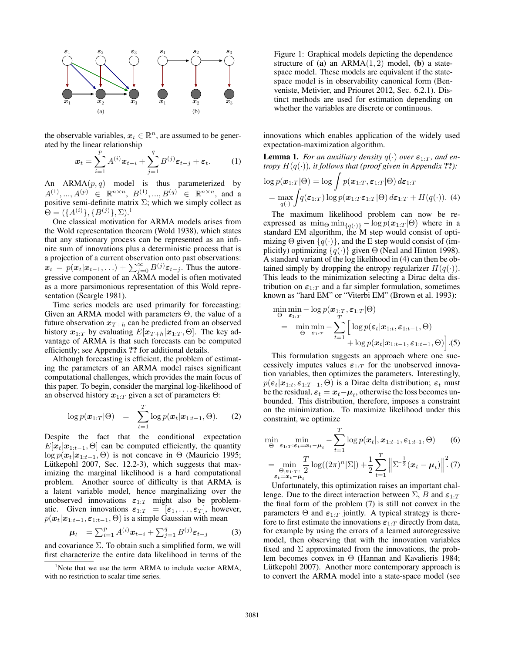

the observable variables,  $x_t \in \mathbb{R}^n$ , are assumed to be generated by the linear relationship

$$
\boldsymbol{x}_t = \sum_{i=1}^p A^{(i)} \boldsymbol{x}_{t-i} + \sum_{j=1}^q B^{(j)} \boldsymbol{\varepsilon}_{t-j} + \boldsymbol{\varepsilon}_t. \tag{1}
$$

An  $ARMA(p, q)$  model is thus parameterized by  $A^{(1)},...,A^{(p)} \in \mathbb{R}^{n \times n},\ B^{(1)},...,B^{(q)} \in \mathbb{R}^{n \times n},\ \text{and a}$ positive semi-definite matrix  $\Sigma$ ; which we simply collect as  $\Theta = (\{A^{(i)}\}, \{B^{(j)}\}, \Sigma).^{1}$ 

One classical motivation for ARMA models arises from the Wold representation theorem (Wold 1938), which states that any stationary process can be represented as an infinite sum of innovations plus a deterministic process that is a projection of a current observation onto past observations:  $\mathbf{x}_t = p(\mathbf{x}_t | \mathbf{x}_{t-1}, \ldots) + \sum_{j=0}^{\infty} B^{(j)} \varepsilon_{t-j}$ . Thus the autoregressive component of an ARMA model is often motivated as a more parsimonious representation of this Wold representation (Scargle 1981).

Time series models are used primarily for forecasting: Given an ARMA model with parameters Θ, the value of a future observation  $x_{T+h}$  can be predicted from an observed history  $x_{1:T}$  by evaluating  $E[x_{T+h}|x_{1:T}, \Theta]$ . The key advantage of ARMA is that such forecasts can be computed efficiently; see Appendix ?? for additional details.

Although forecasting is efficient, the problem of estimating the parameters of an ARMA model raises significant computational challenges, which provides the main focus of this paper. To begin, consider the marginal log-likelihood of an observed history  $x_{1:T}$  given a set of parameters  $\Theta$ :

$$
\log p(\boldsymbol{x}_{1:T}|\Theta) = \sum_{t=1}^{T} \log p(\boldsymbol{x}_t|\boldsymbol{x}_{1:t-1},\Theta). \qquad (2)
$$

Despite the fact that the conditional expectation  $E[\mathbf{x}_t|\mathbf{x}_{1:t-1}, \Theta]$  can be computed efficiently, the quantity log  $p(x_t|x_{1:t-1}, \Theta)$  is not concave in  $\Theta$  (Mauricio 1995; Lütkepohl 2007, Sec. 12.2-3), which suggests that maximizing the marginal likelihood is a hard computational problem. Another source of difficulty is that ARMA is a latent variable model, hence marginalizing over the unobserved innovations  $\varepsilon_{1:T}$  might also be problematic. Given innovations  $\varepsilon_{1:T} = [\varepsilon_1, \ldots, \varepsilon_T]$ , however,  $p(x_t|\mathbf{x}_{1:t-1}, \varepsilon_{1:t-1}, \Theta)$  is a simple Gaussian with mean

$$
\mu_t = \sum_{i=1}^p A^{(i)} x_{t-i} + \sum_{j=1}^q B^{(j)} \varepsilon_{t-j}
$$
 (3)

and covariance  $\Sigma$ . To obtain such a simplified form, we will first characterize the entire data likelihood in terms of the Figure 1: Graphical models depicting the dependence structure of (a) an  $ARMA(1, 2)$  model, (b) a statespace model. These models are equivalent if the statespace model is in observability canonical form (Benveniste, Metivier, and Priouret 2012, Sec. 6.2.1). Distinct methods are used for estimation depending on whether the variables are discrete or continuous.

innovations which enables application of the widely used expectation-maximization algorithm.

**Lemma 1.** *For an auxiliary density*  $q(\cdot)$  *over*  $\varepsilon_{1:T}$ *, and entropy*  $H(q(\cdot))$ *, it follows that (proof given in Appendix ??):* 

$$
\log p(\boldsymbol{x}_{1:T}|\Theta) = \log \int p(\boldsymbol{x}_{1:T}, \boldsymbol{\varepsilon}_{1:T}|\Theta) d\boldsymbol{\varepsilon}_{1:T}
$$
  
= 
$$
\max_{q(\cdot)} \int q(\boldsymbol{\varepsilon}_{1:T}) \log p(\boldsymbol{x}_{1:T} \boldsymbol{\varepsilon}_{1:T}|\Theta) d\boldsymbol{\varepsilon}_{1:T} + H(q(\cdot)).
$$
 (4)

The maximum likelihood problem can now be reexpressed as  $\min_{\{q(\cdot)\}} - \log p(x_{1:T} | \Theta)$  where in a standard EM algorithm, the M step would consist of optimizing  $\Theta$  given  $\{q(\cdot)\}\)$ , and the E step would consist of (implicitly) optimizing  $\{q(\cdot)\}\$  given  $\Theta$  (Neal and Hinton 1998). A standard variant of the log likelihood in (4) can then be obtained simply by dropping the entropy regularizer  $H(q(\cdot))$ . This leads to the minimization selecting a Dirac delta distribution on  $\varepsilon_{1:T}$  and a far simpler formulation, sometimes known as "hard EM" or "Viterbi EM" (Brown et al. 1993):

$$
\min_{\Theta} \min_{\boldsymbol{\varepsilon}_{1:T}} -\log p(\boldsymbol{x}_{1:T}, \boldsymbol{\varepsilon}_{1:T} | \Theta) \n= \min_{\Theta} \min_{\boldsymbol{\varepsilon}_{1:T}} -\sum_{t=1}^{T} \left[ \log p(\boldsymbol{\varepsilon}_{t} | \boldsymbol{x}_{1:t}, \boldsymbol{\varepsilon}_{1:t-1}, \Theta) + \log p(\boldsymbol{x}_{t} | \boldsymbol{x}_{1:t-1}, \boldsymbol{\varepsilon}_{1:t-1}, \Theta) \right].(5)
$$

This formulation suggests an approach where one successively imputes values  $\varepsilon_{1:T}$  for the unobserved innovation variables, then optimizes the parameters. Interestingly,  $p(\epsilon_t|\mathbf{x}_{1:t}, \epsilon_{1:T-1}, \Theta)$  is a Dirac delta distribution;  $\epsilon_t$  must be the residual,  $\varepsilon_t = x_t - \mu_t$ , otherwise the loss becomes unbounded. This distribution, therefore, imposes a constraint on the minimization. To maximize likelihood under this constraint, we optimize

$$
\min_{\Theta} \min_{\boldsymbol{\varepsilon}_{1:T}:\boldsymbol{\varepsilon}_{t}=\boldsymbol{x}_{t}-\boldsymbol{\mu}_{t}} - \sum_{t=1}^{T} \log p(\boldsymbol{x}_{t}|, \boldsymbol{x}_{1:t-1}, \boldsymbol{\varepsilon}_{1:t-1}, \Theta) \qquad (6)
$$
\n
$$
= \min_{\Theta} \frac{T}{2} \log((2\pi)^{n} |\Sigma|) + \frac{1}{2} \sum_{t=1}^{T} \left\| \Sigma^{-\frac{1}{2}}(\boldsymbol{x}_{t} - \boldsymbol{\mu}_{t}) \right\|^{2} (7)
$$

 $=\min_{\substack{\Theta,\boldsymbol{\varepsilon}_{1:T}:\\ \boldsymbol{\varepsilon}_t=\boldsymbol{x}_t-\boldsymbol{\mu}_t}} \frac{1}{2}$  $2 \sum_{t=1}$  $\parallel$  $\parallel$ Unfortunately, this optimization raises an important challenge. Due to the direct interaction between  $\Sigma$ , B and  $\varepsilon_{1:T}$ 

the final form of the problem (7) is still not convex in the parameters  $\Theta$  and  $\varepsilon_{1:T}$  jointly. A typical strategy is therefore to first estimate the innovations  $\varepsilon_{1:T}$  directly from data, for example by using the errors of a learned autoregressive model, then observing that with the innovation variables fixed and  $\Sigma$  approximated from the innovations, the problem becomes convex in Θ (Hannan and Kavalieris 1984; Lütkepohl 2007). Another more contemporary approach is to convert the ARMA model into a state-space model (see

<sup>&</sup>lt;sup>1</sup>Note that we use the term ARMA to include vector ARMA, with no restriction to scalar time series.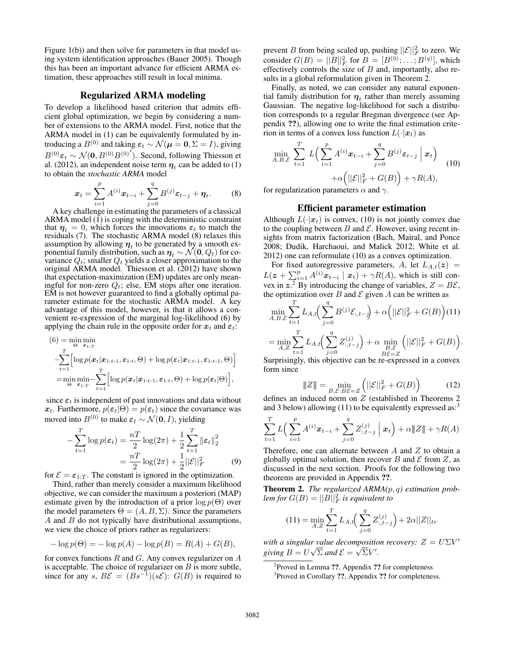Figure 1(b)) and then solve for parameters in that model using system identification approaches (Bauer 2005). Though this has been an important advance for efficient ARMA estimation, these approaches still result in local minima.

## Regularized ARMA modeling

To develop a likelihood based criterion that admits efficient global optimization, we begin by considering a number of extensions to the ARMA model. First, notice that the ARMA model in (1) can be equivalently formulated by introducing a  $B^{(0)}$  and taking  $\varepsilon_t \sim \mathcal{N}(\mu = 0, \Sigma = I)$ , giving  $B^{(0)}\varepsilon_t \sim \mathcal{N}(0, B^{(0)}B^{(0)'}).$  Second, following Thiesson et al. (2012), an independent noise term  $\eta_t$  can be added to (1) to obtain the *stochastic ARMA* model

$$
\boldsymbol{x}_{t} = \sum_{i=1}^{p} A^{(i)} \boldsymbol{x}_{t-i} + \sum_{j=0}^{q} B^{(j)} \boldsymbol{\varepsilon}_{t-j} + \boldsymbol{\eta}_{t}.
$$
 (8)

A key challenge in estimating the parameters of a classical ARMA model (1) is coping with the deterministic constraint that  $\eta_t = 0$ , which forces the innovations  $\varepsilon_t$  to match the residuals (7). The stochastic ARMA model (8) relaxes this assumption by allowing  $\eta_t$  to be generated by a smooth exponential family distribution, such as  $\eta_t \sim \mathcal{N}(0, Q_t)$  for covariance  $Q_t$ ; smaller  $Q_t$  yields a closer approximation to the original ARMA model. Thiesson et al. (2012) have shown that expectation-maximization (EM) updates are only meaningful for non-zero  $Q_t$ ; else, EM stops after one iteration. EM is not however guaranteed to find a globally optimal parameter estimate for the stochastic ARMA model. A key advantage of this model, however, is that it allows a convenient re-expression of the marginal log-likelihood (6) by applying the chain rule in the opposite order for  $x_t$  and  $\varepsilon_t$ .

$$
(6) = \min_{\Theta} \min_{\mathbf{\varepsilon}_{1:T}} \text{min}_{\mathbf{\varepsilon}_{2:T}} \left[ \log p(\mathbf{x}_t | \mathbf{x}_{1:t-1}, \varepsilon_{1:t}, \Theta) + \log p(\varepsilon_t | \mathbf{x}_{1:t-1}, \varepsilon_{1:t-1}, \Theta) \right]
$$

$$
= \min_{\Theta} \min_{\mathbf{\varepsilon}_{1:T}} - \sum_{t=1}^T \left[ \log p(\mathbf{x}_t | \mathbf{x}_{1:t-1}, \varepsilon_{1:t}, \Theta) + \log p(\varepsilon_t | \Theta) \right],
$$

since  $\varepsilon_t$  is independent of past innovations and data without  $x_t$ . Furthermore,  $p(\epsilon_t|\Theta) = p(\epsilon_t)$  since the covariance was moved into  $B^{(0)}$  to make  $\varepsilon_t \sim \mathcal{N}(\mathbf{0}, I)$ , yielding

$$
-\sum_{t=1}^{T} \log p(\varepsilon_t) = \frac{nT}{2} \log(2\pi) + \frac{1}{2} \sum_{t=1}^{T} ||\varepsilon_t||_2^2
$$

$$
= \frac{nT}{2} \log(2\pi) + \frac{1}{2} ||\mathcal{E}||_F^2
$$
(9)

for  $\mathcal{E} = \varepsilon_{1:T}$ . The constant is ignored in the optimization.

Third, rather than merely consider a maximum likelihood objective, we can consider the maximum a posteriori (MAP) estimate given by the introduction of a prior  $\log p(\Theta)$  over the model parameters  $\Theta = (A, B, \Sigma)$ . Since the parameters A and B do not typically have distributional assumptions, we view the choice of priors rather as regularizers:

$$
-\log p(\Theta) = -\log p(A) - \log p(B) = R(A) + G(B),
$$

for convex functions  $R$  and  $G$ . Any convex regularizer on  $A$ is acceptable. The choice of regularizer on  $B$  is more subtle, since for any s,  $B\mathcal{E} = (Bs^{-1})(s\mathcal{E})$ :  $G(B)$  is required to

prevent B from being scaled up, pushing  $||\mathcal{E}||_F^2$  to zero. We consider  $G(B) = ||B||_F^2$  for  $B = [B^{(0)}; \dots; B^{(q)}]$ , which effectively controls the size of  $B$  and, importantly, also results in a global reformulation given in Theorem 2.

Finally, as noted, we can consider any natural exponential family distribution for  $\boldsymbol{\eta}_t$  rather than merely assuming Gaussian. The negative log-likelihood for such a distribution corresponds to a regular Bregman divergence (see Appendix ??), allowing one to write the final estimation criterion in terms of a convex loss function  $L(\cdot|\boldsymbol{x}_t)$  as

$$
\min_{A,B,\mathcal{E}} \sum_{t=1}^{T} L\Big(\sum_{i=1}^{p} A^{(i)} \boldsymbol{x}_{t-i} + \sum_{j=0}^{q} B^{(j)} \boldsymbol{\varepsilon}_{t-j} \mid \boldsymbol{x}_t\Big) + \alpha \Big(||\mathcal{E}||_F^2 + G(B)\Big) + \gamma R(A), \tag{10}
$$

for regularization parameters  $\alpha$  and  $\gamma$ .

### Efficient parameter estimation

Although  $L(\cdot|\mathbf{x}_t)$  is convex, (10) is not jointly convex due to the coupling between B and  $\mathcal E$ . However, using recent insights from matrix factorization (Bach, Mairal, and Ponce 2008; Dudik, Harchaoui, and Malick 2012; White et al. 2012) one can reformulate (10) as a convex optimization.

For fixed autoregressive parameters, A, let  $L_{A,t}(z)$  =  $L(z + \sum_{i=1}^{p} A^{(i)} x_{t-i} | x_t) + \gamma R(A)$ , which is still convex in  $z^2$ . By introducing the change of variables,  $Z = B\mathcal{E}$ , the optimization over B and  $\mathcal E$  given A can be written as

$$
\min_{A,B,\mathcal{E}} \sum_{t=1}^{T} L_{A,t} \Big( \sum_{j=0}^{q} B^{(j)} \mathcal{E}_{:,t-j} \Big) + \alpha \Big( ||\mathcal{E}||_F^2 + G(B) \Big) (11)
$$
  
= 
$$
\min_{A,Z} \sum_{t=1}^{T} L_{A,t} \Big( \sum_{j=0}^{q} Z_{:,t-j}^{(j)} \Big) + \alpha \min_{\substack{B,\mathcal{E} \\ B\mathcal{E}=Z}} \Big( ||\mathcal{E}||_F^2 + G(B) \Big).
$$

Surprisingly, this objective can be re-expressed in a convex form since

$$
|\!|\!|Z|\!|\!| = \min_{B,\mathcal{E}:B\mathcal{E}=Z} \left( \|\mathcal{E}\|_F^2 + G(B) \right) \tag{12}
$$

defines an induced norm on Z (established in Theorems 2 and 3 below) allowing  $(11)$  to be equivalently expressed as:<sup>3</sup>

$$
\sum_{t=1}^{T} L\Big(\sum_{i=1}^{p} A^{(i)} \mathbf{x}_{t-i} + \sum_{j=0}^{q} Z_{:,t-j}^{(j)} \mid \mathbf{x}_t\Big) + \alpha \|\mathbf{Z}\| + \gamma R(A)
$$

Therefore, one can alternate between  $A$  and  $Z$  to obtain a globally optimal solution, then recover B and  $\mathcal E$  from Z, as discussed in the next section. Proofs for the following two theorems are provided in Appendix ??.

Theorem 2. *The regularized ARMA(*p, q*) estimation prob* $l$ *em for*  $G(B) = ||B||_F^2$  *is equivalent to* 

$$
(11) = \min_{A,Z} \sum_{t=1}^{T} L_{A,t} \left( \sum_{j=0}^{q} Z_{:,t-j}^{(j)} \right) + 2\alpha ||Z||_{tr}
$$

with a singular value decomposition recovery:  $Z = U\Sigma V'$ giving  $B = U\sqrt{\Sigma}$  and  $\mathcal{E} = \sqrt{\Sigma}V'$ .

<sup>&</sup>lt;sup>2</sup>Proved in Lemma ??, Appendix ?? for completeness

<sup>&</sup>lt;sup>3</sup> Proved in Corollary ??, Appendix ?? for completeness.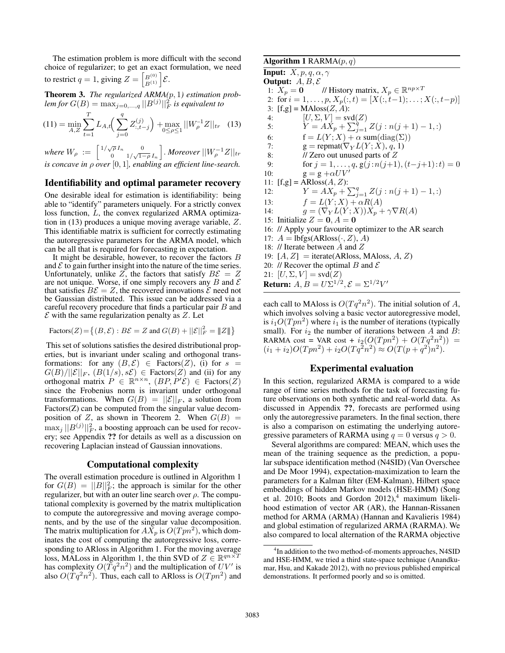The estimation problem is more difficult with the second choice of regularizer; to get an exact formulation, we need to restrict  $q = 1$ , giving  $Z = \begin{bmatrix} B^{(0)} \\ B^{(1)} \end{bmatrix} \mathcal{E}$ .

Theorem 3. *The regularized ARMA(*p, 1*) estimation prob-* $\textit{lem for } G(B) = \max_{j=0,\ldots,q} ||B^{(j)}||_F^2$  is equivalent to

$$
(11) = \min_{A,Z} \sum_{t=1}^{T} L_{A,t} \left( \sum_{j=0}^{q} Z_{:,t-j}^{(j)} \right) + \max_{0 \le \rho \le 1} ||W_{\rho}^{-1}Z||_{tr} \quad (13)
$$

where  $W_{\rho} := \begin{bmatrix} 1/\sqrt{\rho} I_n & 0 \\ 0 & 1/\sqrt{1-\rho} \end{bmatrix}$  $\intop_{0}^{\sqrt{\rho}}\frac{I_{n}}{1/\sqrt{1-\rho}}\frac{0}{I_{n}}\Bigg].$  Moreover  $||W_{\rho}^{-1}Z||_{tr}$ *is concave in* ρ *over* [0, 1]*, enabling an efficient line-search.*

## Identifiability and optimal parameter recovery

One desirable ideal for estimation is identifiability: being able to "identify" parameters uniquely. For a strictly convex loss function, L, the convex regularized ARMA optimization in (13) produces a unique moving average variable, Z. This identifiable matrix is sufficient for correctly estimating the autoregressive parameters for the ARMA model, which can be all that is required for forecasting in expectation.

It might be desirable, however, to recover the factors B and  $\mathcal E$  to gain further insight into the nature of the time series. Unfortunately, unlike  $Z$ , the factors that satisfy  $B\mathcal{E} = Z$ are not unique. Worse, if one simply recovers any  $B$  and  $\mathcal E$ that satisfies  $B\mathcal{E} = Z$ , the recovered innovations  $\mathcal{\mathcal{E}}$  need not be Gaussian distributed. This issue can be addressed via a careful recovery procedure that finds a particular pair  $B$  and  $\mathcal E$  with the same regularization penalty as  $Z$ . Let

$$
\text{Factors}(Z) = \{(B, \mathcal{E}) : B\mathcal{E} = Z \text{ and } G(B) + ||\mathcal{E}||_F^2 = ||Z||\}
$$

This set of solutions satisfies the desired distributional properties, but is invariant under scaling and orthogonal transformations: for any  $(B, \mathcal{E}) \in$  Factors $(Z)$ , (i) for  $s =$  $G(B)/||\mathcal{E}||_F$ ,  $(B(1/s), s\mathcal{E}) \in$  Factors(Z) and (ii) for any orthogonal matrix  $P \in \mathbb{R}^{n \times n}$ ,  $(BP, P'\mathcal{E}) \in$  Factors $(Z)$ since the Frobenius norm is invariant under orthogonal transformations. When  $G(B) = ||\mathcal{E}||_F$ , a solution from Factors(Z) can be computed from the singular value decomposition of Z, as shown in Theorem 2. When  $G(B)$  =  $\max_j ||B^{(j)}||_F^2$ , a boosting approach can be used for recovery; see Appendix ?? for details as well as a discussion on recovering Laplacian instead of Gaussian innovations.

### Computational complexity

The overall estimation procedure is outlined in Algorithm 1 for  $G(B) = ||B||_F^2$ ; the approach is similar for the other regularizer, but with an outer line search over  $\rho$ . The computational complexity is governed by the matrix multiplication to compute the autoregressive and moving average components, and by the use of the singular value decomposition. The matrix multiplication for  $AX_p$  is  $O(Tpn^2)$ , which dominates the cost of computing the autoregressive loss, corresponding to ARloss in Algorithm 1. For the moving average loss, MALoss in Algorithm 1, the thin SVD of  $Z \in \mathbb{R}^{qn \times T}$ has complexity  $O(Tq^2n^2)$  and the multiplication of  $UV'$  is also  $O(Tq^2n^2)$ . Thus, each call to ARloss is  $O(Tpn^2)$  and

Algorithm 1 RARMA $(p, q)$ **Input:**  $X, p, q, \alpha, \gamma$ Output:  $A, B, E$ 1:  $X_p = 0$  // History matrix,  $X_p \in \mathbb{R}^{np \times T}$ 2: for  $i = 1, \ldots, p$ ,  $X_p(:, t) = [X(:, t-1); \ldots; X(:, t-p)]$ 3:  $[f,g] = MAloss(Z, A)$ : 4:  $[U, \Sigma, V] = \text{svd}(Z)$ 5:  $Y = A X_p + \sum_{j=1}^{q} Z(j : n(j+1) - 1, :)$ 6:  $f = L(Y; X) + \alpha \operatorname{sum}(\operatorname{diag}(\Sigma))$ 7:  $g = \text{repmat}(\nabla_Y L(Y; X), q, 1)$ <br>8: // Zero out unused parts of Z  $\frac{1}{2}$  Zero out unused parts of  $Z$ 9: for  $j = 1, ..., q$ ,  $g(j:n(j+1), (t-j+1):t) = 0$ 10:  $g = g + \alpha UV'$ 11:  $[f,g] = ARloss(A, Z)$ : 12:  $Y = AX_p + \sum_{j=1}^{q} Z(j : n(j+1) - 1, :)$ 13:  $f = L(Y; X) + \alpha R(A)$ 14:  $g = (\nabla_Y L(Y; X)) \dot{X}_p + \gamma \nabla R(A)$ 15: Initialize  $Z = 0, A = 0$ 16: // Apply your favourite optimizer to the AR search 17:  $A = \text{lbfgs}(ARloss(\cdot, Z), A)$ 18: // Iterate between A and Z 19:  $[A, Z] =$ iterate(ARloss, MAloss, A, Z) 20: // Recover the optimal B and  $\mathcal E$ 21:  $[U, \Sigma, V] = \text{svd}(Z)$ **Return:**  $A, B = U\Sigma^{1/2}, \mathcal{E} = \Sigma^{1/2}V'$ 

each call to MAloss is  $O(Tq^2n^2)$ . The initial solution of A, which involves solving a basic vector autoregressive model, is  $i_1O(Tpn^2)$  where  $i_1$  is the number of iterations (typically small). For  $i_2$  the number of iterations between A and B: RARMA cost = VAR cost +  $i_2(O(Tpn^2) + O(Tq^2n^2))$  =  $(i_1 + i_2)O(Tpn^2) + i_2O(Tq^2n^2) \approx O(T(p+q^2)n^2).$ 

#### Experimental evaluation

In this section, regularized ARMA is compared to a wide range of time series methods for the task of forecasting future observations on both synthetic and real-world data. As discussed in Appendix ??, forecasts are performed using only the autoregressive parameters. In the final section, there is also a comparison on estimating the underlying autoregressive parameters of RARMA using  $q = 0$  versus  $q > 0$ .

Several algorithms are compared: MEAN, which uses the mean of the training sequence as the prediction, a popular subspace identification method (N4SID) (Van Overschee and De Moor 1994), expectation-maximization to learn the parameters for a Kalman filter (EM-Kalman), Hilbert space embeddings of hidden Markov models (HSE-HMM) (Song et al. 2010; Boots and Gordon  $2012$ <sup>4</sup>, maximum likelihood estimation of vector AR (AR), the Hannan-Rissanen method for ARMA (ARMA) (Hannan and Kavalieris 1984) and global estimation of regularized ARMA (RARMA). We also compared to local alternation of the RARMA objective

<sup>&</sup>lt;sup>4</sup>In addition to the two method-of-moments approaches, N4SID and HSE-HMM, we tried a third state-space technique (Anandkumar, Hsu, and Kakade 2012), with no previous published empirical demonstrations. It performed poorly and so is omitted.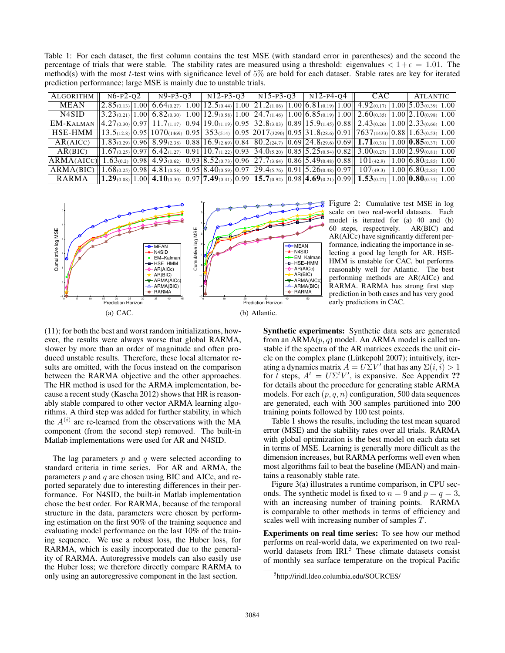Table 1: For each dataset, the first column contains the test MSE (with standard error in parentheses) and the second the percentage of trials that were stable. The stability rates are measured using a threshold: eigenvalues  $\lt 1+\epsilon = 1.01$ . The method(s) with the most t-test wins with significance level of  $5\%$  are bold for each dataset. Stable rates are key for iterated prediction performance; large MSE is mainly due to unstable trials.

| ALGORITHM                                                                                                                                                                                                            | $N6-P2-O2$ |  | N <sub>9</sub> -P <sub>3</sub> -0 <sub>3</sub> |  | $N12-P3-O3$ |  | $\mid$ N15-P3-Q3 $\mid$ N12-P4-Q4 |  |  |  | CAC                                                                                                                                                                                                                                           |  | ATLANTIC |  |
|----------------------------------------------------------------------------------------------------------------------------------------------------------------------------------------------------------------------|------------|--|------------------------------------------------|--|-------------|--|-----------------------------------|--|--|--|-----------------------------------------------------------------------------------------------------------------------------------------------------------------------------------------------------------------------------------------------|--|----------|--|
| MEAN                                                                                                                                                                                                                 |            |  |                                                |  |             |  |                                   |  |  |  | $\left[2.85_{(0.13)}\right]1.00\left[6.64_{(0.27)}\right]1.00\left[12.5_{(0.44)}\right]1.00\left[21.2_{(1.06)}\right]1.00\left[6.81_{(0.19)}\right]1.00\left[4.92_{(0.17)}\right]1.00\left[5.03_{(0.39)}\right]1.00$                          |  |          |  |
| N4SID                                                                                                                                                                                                                |            |  |                                                |  |             |  |                                   |  |  |  | $3.23_{(0.21)}$ 1.00 $6.82_{(0.30)}$ 1.00 $12.9_{(0.58)}$ 1.00 $24.7_{(1.46)}$ 1.00 $6.85_{(0.19)}$ 1.00 $2.60_{(0.35)}$ 1.00 $2.10_{(0.98)}$ 1.00                                                                                            |  |          |  |
| EM-KALMAN                                                                                                                                                                                                            |            |  |                                                |  |             |  |                                   |  |  |  | $\left[4.27_{(0.30)}\right]$ 0.97 $\left[11.7_{(1.17)}\right]$ 0.94 $\left[19.0_{(1.19)}\right]$ 0.95 $\left[32.8_{(3.03)}\right]$ 0.89 $\left[15.9_{(1.45)}\right]$ 0.88 $\left[2.43_{(0.26)}\right]$ 1.00 $\left[2.33_{(0.66)}\right]$ 1.00 |  |          |  |
| HSE-HMM                                                                                                                                                                                                              |            |  |                                                |  |             |  |                                   |  |  |  | $13.5(12.8)$ $0.95$ $1070(1469)$ $0.95$ $353(514)$ $0.95$ $2017(3290)$ $0.95$ $31.8(28.6)$ $0.91$ $7637(1433)$ $0.88$ $1.63(0.53)$ $1.00$                                                                                                     |  |          |  |
| AR(AICC)                                                                                                                                                                                                             |            |  |                                                |  |             |  |                                   |  |  |  | $1.83_{(0.29)}[0.96]$ $8.99_{(2.38)}[0.88]$ $16.9_{(2.69)}[0.84]$ $80.2_{(24.7)}[0.69]$ $24.8_{(29.6)}[0.69]$ $1.71_{(0.31)}[1.00]$ $0.85_{(0.37)}[1.00]$                                                                                     |  |          |  |
| AR(BIC)                                                                                                                                                                                                              |            |  |                                                |  |             |  |                                   |  |  |  | $1.67_{(0.25)}[0.97]$ 6.42(1.27) [0.91] $10.7$ (1.22) [0.93] 34.0(5.20) [0.85] 5.25(0.54) [0.82] 3.00(0.27) [1.00] 2.99(0.81) [1.00]                                                                                                          |  |          |  |
| $ARMA(AICC)$ 1.63(0.2) $\left[0.98\right]$ 4.93(0.62) $\left[0.93\right]$ 8.52(0.73) $\left[0.96\right]$ 27.7(3.64) $\left[0.86\right]$ 5.49(0.48) $\left[0.88\right]$ 101(42.9) $\left[1.00\right]$ 6.80(2.85) 1.00 |            |  |                                                |  |             |  |                                   |  |  |  |                                                                                                                                                                                                                                               |  |          |  |
| ARMA(BIC)                                                                                                                                                                                                            |            |  |                                                |  |             |  |                                   |  |  |  | $1.68_{(0.25)}[0.98]$ 4.81 $_{(0.58)}$ $\overline{0.95}$ 8.40 $_{(0.59)}$ 0.97 29.4 $_{(5.76)}$ 0.91 5.26 $_{(0.48)}$ 0.97 107 $_{(49.3)}$ 1.00 6.80 $_{(2.85)}$ 1.00                                                                         |  |          |  |
| RARMA                                                                                                                                                                                                                |            |  |                                                |  |             |  |                                   |  |  |  | $\left[1.29_{(0.08)}\right]1.00\left[4.10_{(0.30)}\right]0.97\left[7.49_{(0.41)}\right]0.99\left[15.7_{(0.92)}\right]0.98\left[4.69_{(0.21)}\right]0.99\left[1.53_{(0.27)}\right]1.00\left[0.80_{(0.35)}\right]1.00$                          |  |          |  |



Figure 2: Cumulative test MSE in log scale on two real-world datasets. Each model is iterated for (a) 40 and (b) 60 steps, respectively. AR(BIC) and AR(AICc) have significantly different performance, indicating the importance in selecting a good lag length for AR. HSE-HMM is unstable for CAC, but performs reasonably well for Atlantic. The best performing methods are AR(AICc) and RARMA. RARMA has strong first step prediction in both cases and has very good early predictions in CAC.

(11); for both the best and worst random initializations, however, the results were always worse that global RARMA, slower by more than an order of magnitude and often produced unstable results. Therefore, these local alternator results are omitted, with the focus instead on the comparison between the RARMA objective and the other approaches. The HR method is used for the ARMA implementation, because a recent study (Kascha 2012) shows that HR is reasonably stable compared to other vector ARMA learning algorithms. A third step was added for further stability, in which the  $A^{(i)}$  are re-learned from the observations with the MA component (from the second step) removed. The built-in Matlab implementations were used for AR and N4SID.

The lag parameters  $p$  and  $q$  were selected according to standard criteria in time series. For AR and ARMA, the parameters  $p$  and  $q$  are chosen using BIC and AICc, and reported separately due to interesting differences in their performance. For N4SID, the built-in Matlab implementation chose the best order. For RARMA, because of the temporal structure in the data, parameters were chosen by performing estimation on the first 90% of the training sequence and evaluating model performance on the last 10% of the training sequence. We use a robust loss, the Huber loss, for RARMA, which is easily incorporated due to the generality of RARMA. Autoregressive models can also easily use the Huber loss; we therefore directly compare RARMA to only using an autoregressive component in the last section.

Synthetic experiments: Synthetic data sets are generated from an  $ARMA(p, q)$  model. An ARMA model is called unstable if the spectra of the AR matrices exceeds the unit circle on the complex plane (Lütkepohl 2007); intuitively, iterating a dynamics matrix  $A = U\Sigma V'$  that has any  $\Sigma(i, i) > 1$ for t steps,  $A^t = U \Sigma^t V'$ , is expansive. See Appendix ?? for details about the procedure for generating stable ARMA models. For each  $(p, q, n)$  configuration, 500 data sequences are generated, each with 300 samples partitioned into 200 training points followed by 100 test points.

Table 1 shows the results, including the test mean squared error (MSE) and the stability rates over all trials. RARMA with global optimization is the best model on each data set in terms of MSE. Learning is generally more difficult as the dimension increases, but RARMA performs well even when most algorithms fail to beat the baseline (MEAN) and maintains a reasonably stable rate.

Figure 3(a) illustrates a runtime comparison, in CPU seconds. The synthetic model is fixed to  $n = 9$  and  $p = q = 3$ , with an increasing number of training points. RARMA is comparable to other methods in terms of efficiency and scales well with increasing number of samples T.

Experiments on real time series: To see how our method performs on real-world data, we experimented on two realworld datasets from IRI.<sup>5</sup> These climate datasets consist of monthly sea surface temperature on the tropical Pacific

<sup>5</sup> http://iridl.ldeo.columbia.edu/SOURCES/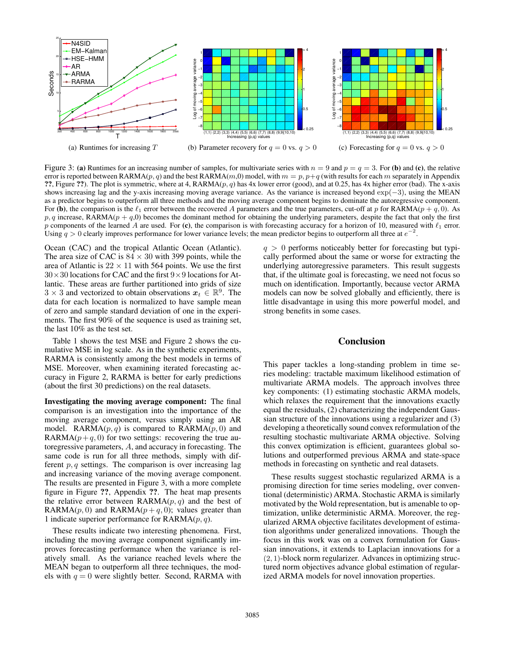

Figure 3: (a) Runtimes for an increasing number of samples, for multivariate series with  $n = 9$  and  $p = q = 3$ . For (b) and (c), the relative error is reported between RARMA $(p, q)$  and the best RARMA $(m, 0)$  model, with  $m = p$ ,  $p+q$  (with results for each m separately in Appendix ??, Figure ??). The plot is symmetric, where at 4,  $RARMA(p, q)$  has 4x lower error (good), and at 0.25, has 4x higher error (bad). The x-axis shows increasing lag and the y-axis increasing moving average variance. As the variance is increased beyond exp(−3), using the MEAN as a predictor begins to outperform all three methods and the moving average component begins to dominate the autoregressive component. For (b), the comparison is the  $\ell_1$  error between the recovered A parameters and the true parameters, cut-off at p for RARMA(p + q, 0). As  $p, q$  increase, RARMA( $p + q, 0$ ) becomes the dominant method for obtaining the underlying parameters, despite the fact that only the first p components of the learned A are used. For (c), the comparison is with forecasting accuracy for a horizon of 10, measured with  $\ell_1$  error. Using  $q > 0$  clearly improves performance for lower variance levels; the mean predictor begins to outperform all three at  $e^{-2}$ .

Ocean (CAC) and the tropical Atlantic Ocean (Atlantic). The area size of CAC is  $84 \times 30$  with 399 points, while the area of Atlantic is  $22 \times 11$  with 564 points. We use the first  $30 \times 30$  locations for CAC and the first  $9 \times 9$  locations for Atlantic. These areas are further partitioned into grids of size  $3 \times 3$  and vectorized to obtain observations  $x_t \in \mathbb{R}^9$ . The data for each location is normalized to have sample mean of zero and sample standard deviation of one in the experiments. The first 90% of the sequence is used as training set, the last 10% as the test set.

Table 1 shows the test MSE and Figure 2 shows the cumulative MSE in log scale. As in the synthetic experiments, RARMA is consistently among the best models in terms of MSE. Moreover, when examining iterated forecasting accuracy in Figure 2, RARMA is better for early predictions (about the first 30 predictions) on the real datasets.

Investigating the moving average component: The final comparison is an investigation into the importance of the moving average component, versus simply using an AR model. RARMA $(p, q)$  is compared to RARMA $(p, 0)$  and RARMA $(p+q, 0)$  for two settings: recovering the true autoregressive parameters, A, and accuracy in forecasting. The same code is run for all three methods, simply with different  $p, q$  settings. The comparison is over increasing lag and increasing variance of the moving average component. The results are presented in Figure 3, with a more complete figure in Figure ??, Appendix ??. The heat map presents the relative error between  $\text{RARMA}(p,q)$  and the best of RARMA( $p$ , 0) and RARMA( $p + q$ , 0); values greater than 1 indicate superior performance for  $RARMA(p, q)$ .

These results indicate two interesting phenomena. First, including the moving average component significantly improves forecasting performance when the variance is relatively small. As the variance reached levels where the MEAN began to outperform all three techniques, the models with  $q = 0$  were slightly better. Second, RARMA with

 $q > 0$  performs noticeably better for forecasting but typically performed about the same or worse for extracting the underlying autoregressive parameters. This result suggests that, if the ultimate goal is forecasting, we need not focus so much on identification. Importantly, because vector ARMA models can now be solved globally and efficiently, there is little disadvantage in using this more powerful model, and strong benefits in some cases.

### Conclusion

This paper tackles a long-standing problem in time series modeling: tractable maximum likelihood estimation of multivariate ARMA models. The approach involves three key components: (1) estimating stochastic ARMA models, which relaxes the requirement that the innovations exactly equal the residuals, (2) characterizing the independent Gaussian structure of the innovations using a regularizer and (3) developing a theoretically sound convex reformulation of the resulting stochastic multivariate ARMA objective. Solving this convex optimization is efficient, guarantees global solutions and outperformed previous ARMA and state-space methods in forecasting on synthetic and real datasets.

These results suggest stochastic regularized ARMA is a promising direction for time series modeling, over conventional (deterministic) ARMA. Stochastic ARMA is similarly motivated by the Wold representation, but is amenable to optimization, unlike deterministic ARMA. Moreover, the regularized ARMA objective facilitates development of estimation algorithms under generalized innovations. Though the focus in this work was on a convex formulation for Gaussian innovations, it extends to Laplacian innovations for a (2, 1)-block norm regularizer. Advances in optimizing structured norm objectives advance global estimation of regularized ARMA models for novel innovation properties.